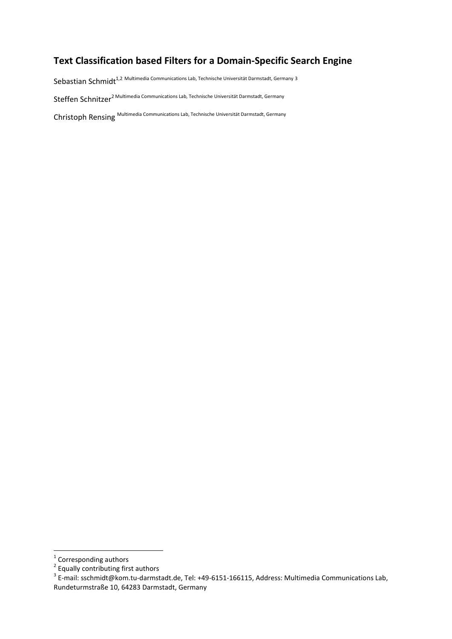## **Text Classification based Filters for a Domain-Specific Search Engine**

<span id="page-0-0"></span>Sebastian Schmidt<sup>1,2</sup> Multimedia Communications Lab, Technische Universität Darmstadt, Germany 3

Steffen Schnitze[r](#page-0-0)<sup>2</sup> Multimedia Communications Lab, Technische Universität Darmstadt, Germany

Christoph Rensing Multimedia Communications Lab, Technische Universität Darmstadt, Germany

 1 Corresponding authors 2 Equally contributing first authors 3 E-mail: sschmidt@kom.tu-darmstadt.de, Tel: +49-6151-166115, Address: Multimedia Communications Lab, Rundeturmstraße 10, 64283 Darmstadt, Germany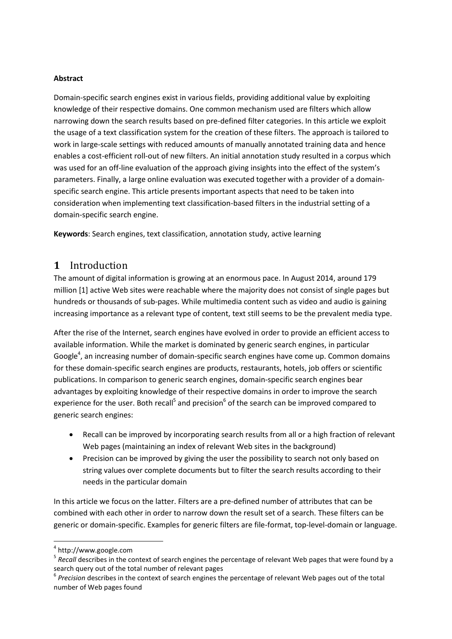#### **Abstract**

Domain-specific search engines exist in various fields, providing additional value by exploiting knowledge of their respective domains. One common mechanism used are filters which allow narrowing down the search results based on pre-defined filter categories. In this article we exploit the usage of a text classification system for the creation of these filters. The approach is tailored to work in large-scale settings with reduced amounts of manually annotated training data and hence enables a cost-efficient roll-out of new filters. An initial annotation study resulted in a corpus which was used for an off-line evaluation of the approach giving insights into the effect of the system's parameters. Finally, a large online evaluation was executed together with a provider of a domainspecific search engine. This article presents important aspects that need to be taken into consideration when implementing text classification-based filters in the industrial setting of a domain-specific search engine.

**Keywords**: Search engines, text classification, annotation study, active learning

### **1** Introduction

The amount of digital information is growing at an enormous pace. In August 2014, around 179 million [1] active Web sites were reachable where the majority does not consist of single pages but hundreds or thousands of sub-pages. While multimedia content such as video and audio is gaining increasing importance as a relevant type of content, text still seems to be the prevalent media type.

After the rise of the Internet, search engines have evolved in order to provide an efficient access to available information. While the market is dominated by generic search engines, in particular Google<sup>4</sup>, an increasing number of domain-specific search engines have come up. Common domains for these domain-specific search engines are products, restaurants, hotels, job offers or scientific publications. In comparison to generic search engines, domain-specific search engines bear advantages by exploiting knowledge of their respective domains in order to improve the search experience for the user. Both recall<sup>5</sup> and precision<sup>6</sup> of the search can be improved compared to generic search engines:

- Recall can be improved by incorporating search results from all or a high fraction of relevant Web pages (maintaining an index of relevant Web sites in the background)
- Precision can be improved by giving the user the possibility to search not only based on string values over complete documents but to filter the search results according to their needs in the particular domain

In this article we focus on the latter. Filters are a pre-defined number of attributes that can be combined with each other in order to narrow down the result set of a search. These filters can be generic or domain-specific. Examples for generic filters are file-format, top-level-domain or language.

**.** 

<sup>4</sup> http://www.google.com

<sup>&</sup>lt;sup>5</sup> Recall describes in the context of search engines the percentage of relevant Web pages that were found by a search query out of the total number of relevant pages

<sup>6</sup> *Precision* describes in the context of search engines the percentage of relevant Web pages out of the total number of Web pages found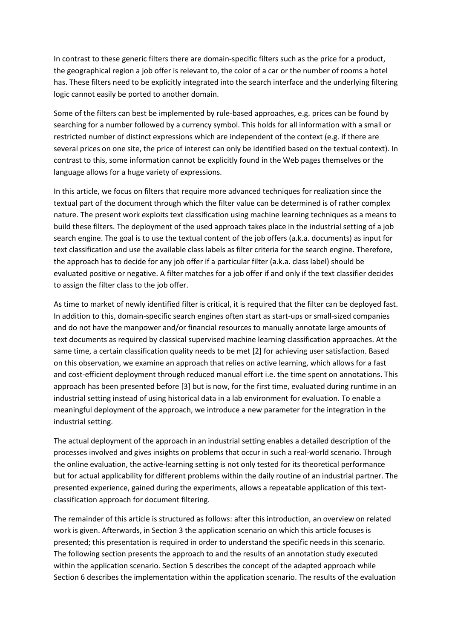In contrast to these generic filters there are domain-specific filters such as the price for a product, the geographical region a job offer is relevant to, the color of a car or the number of rooms a hotel has. These filters need to be explicitly integrated into the search interface and the underlying filtering logic cannot easily be ported to another domain.

Some of the filters can best be implemented by rule-based approaches, e.g. prices can be found by searching for a number followed by a currency symbol. This holds for all information with a small or restricted number of distinct expressions which are independent of the context (e.g. if there are several prices on one site, the price of interest can only be identified based on the textual context). In contrast to this, some information cannot be explicitly found in the Web pages themselves or the language allows for a huge variety of expressions.

In this article, we focus on filters that require more advanced techniques for realization since the textual part of the document through which the filter value can be determined is of rather complex nature. The present work exploits text classification using machine learning techniques as a means to build these filters. The deployment of the used approach takes place in the industrial setting of a job search engine. The goal is to use the textual content of the job offers (a.k.a. documents) as input for text classification and use the available class labels as filter criteria for the search engine. Therefore, the approach has to decide for any job offer if a particular filter (a.k.a. class label) should be evaluated positive or negative. A filter matches for a job offer if and only if the text classifier decides to assign the filter class to the job offer.

As time to market of newly identified filter is critical, it is required that the filter can be deployed fast. In addition to this, domain-specific search engines often start as start-ups or small-sized companies and do not have the manpower and/or financial resources to manually annotate large amounts of text documents as required by classical supervised machine learning classification approaches. At the same time, a certain classification quality needs to be met [2] for achieving user satisfaction. Based on this observation, we examine an approach that relies on active learning, which allows for a fast and cost-efficient deployment through reduced manual effort i.e. the time spent on annotations. This approach has been presented before [3] but is now, for the first time, evaluated during runtime in an industrial setting instead of using historical data in a lab environment for evaluation. To enable a meaningful deployment of the approach, we introduce a new parameter for the integration in the industrial setting.

The actual deployment of the approach in an industrial setting enables a detailed description of the processes involved and gives insights on problems that occur in such a real-world scenario. Through the online evaluation, the active-learning setting is not only tested for its theoretical performance but for actual applicability for different problems within the daily routine of an industrial partner. The presented experience, gained during the experiments, allows a repeatable application of this textclassification approach for document filtering.

The remainder of this article is structured as follows: after this introduction, an overview on related work is given. Afterwards, in Sectio[n 3](#page-4-0) the application scenario on which this article focuses is presented; this presentation is required in order to understand the specific needs in this scenario. The following section presents the approach to and the results of an annotation study executed within the application scenario. Section [5](#page-7-0) describes the concept of the adapted approach while Section 6 describes the implementation within the application scenario. The results of the evaluation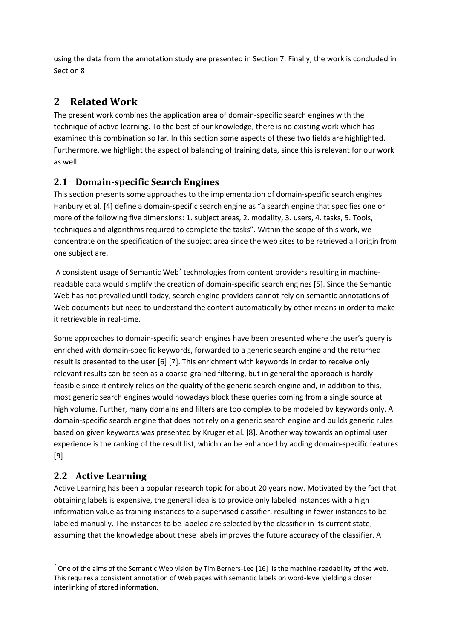using the data from the annotation study are presented in Section 7. Finally, the work is concluded in Section [8.](#page-15-0)

# **2 Related Work**

The present work combines the application area of domain-specific search engines with the technique of active learning. To the best of our knowledge, there is no existing work which has examined this combination so far. In this section some aspects of these two fields are highlighted. Furthermore, we highlight the aspect of balancing of training data, since this is relevant for our work as well.

## **2.1 Domain-specific Search Engines**

This section presents some approaches to the implementation of domain-specific search engines. Hanbury et al. [4] define a domain-specific search engine as "a search engine that specifies one or more of the following five dimensions: 1. subject areas, 2. modality, 3. users, 4. tasks, 5. Tools, techniques and algorithms required to complete the tasks". Within the scope of this work, we concentrate on the specification of the subject area since the web sites to be retrieved all origin from one subject are.

A consistent usage of Semantic Web<sup>7</sup> technologies from content providers resulting in machinereadable data would simplify the creation of domain-specific search engines [5]. Since the Semantic Web has not prevailed until today, search engine providers cannot rely on semantic annotations of Web documents but need to understand the content automatically by other means in order to make it retrievable in real-time.

Some approaches to domain-specific search engines have been presented where the user's query is enriched with domain-specific keywords, forwarded to a generic search engine and the returned result is presented to the user [6] [7]. This enrichment with keywords in order to receive only relevant results can be seen as a coarse-grained filtering, but in general the approach is hardly feasible since it entirely relies on the quality of the generic search engine and, in addition to this, most generic search engines would nowadays block these queries coming from a single source at high volume. Further, many domains and filters are too complex to be modeled by keywords only. A domain-specific search engine that does not rely on a generic search engine and builds generic rules based on given keywords was presented by Kruger et al. [8]. Another way towards an optimal user experience is the ranking of the result list, which can be enhanced by adding domain-specific features [9].

## **2.2 Active Learning**

**.** 

Active Learning has been a popular research topic for about 20 years now. Motivated by the fact that obtaining labels is expensive, the general idea is to provide only labeled instances with a high information value as training instances to a supervised classifier, resulting in fewer instances to be labeled manually. The instances to be labeled are selected by the classifier in its current state, assuming that the knowledge about these labels improves the future accuracy of the classifier. A

 $^7$  One of the aims of the Semantic Web vision by Tim Berners-Lee [16] is the machine-readability of the web. This requires a consistent annotation of Web pages with semantic labels on word-level yielding a closer interlinking of stored information.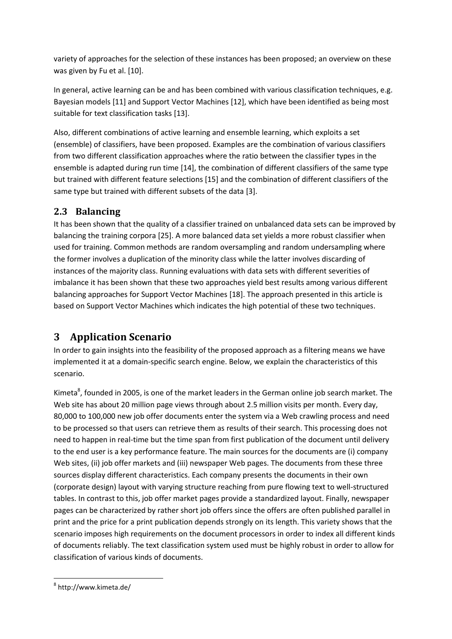variety of approaches for the selection of these instances has been proposed; an overview on these was given by Fu et al. [10].

In general, active learning can be and has been combined with various classification techniques, e.g. Bayesian models [11] and Support Vector Machines [12], which have been identified as being most suitable for text classification tasks [13].

Also, different combinations of active learning and ensemble learning, which exploits a set (ensemble) of classifiers, have been proposed. Examples are the combination of various classifiers from two different classification approaches where the ratio between the classifier types in the ensemble is adapted during run time [14], the combination of different classifiers of the same type but trained with different feature selections [15] and the combination of different classifiers of the same type but trained with different subsets of the data [3].

### <span id="page-4-1"></span>**2.3 Balancing**

It has been shown that the quality of a classifier trained on unbalanced data sets can be improved by balancing the training corpora [25]. A more balanced data set yields a more robust classifier when used for training. Common methods are random oversampling and random undersampling where the former involves a duplication of the minority class while the latter involves discarding of instances of the majority class. Running evaluations with data sets with different severities of imbalance it has been shown that these two approaches yield best results among various different balancing approaches for Support Vector Machines [18]. The approach presented in this article is based on Support Vector Machines which indicates the high potential of these two techniques.

# <span id="page-4-0"></span>**3 Application Scenario**

In order to gain insights into the feasibility of the proposed approach as a filtering means we have implemented it at a domain-specific search engine. Below, we explain the characteristics of this scenario.

Kimeta<sup>8</sup>, founded in 2005, is one of the market leaders in the German online job search market. The Web site has about 20 million page views through about 2.5 million visits per month. Every day, 80,000 to 100,000 new job offer documents enter the system via a Web crawling process and need to be processed so that users can retrieve them as results of their search. This processing does not need to happen in real-time but the time span from first publication of the document until delivery to the end user is a key performance feature. The main sources for the documents are (i) company Web sites, (ii) job offer markets and (iii) newspaper Web pages. The documents from these three sources display different characteristics. Each company presents the documents in their own (corporate design) layout with varying structure reaching from pure flowing text to well-structured tables. In contrast to this, job offer market pages provide a standardized layout. Finally, newspaper pages can be characterized by rather short job offers since the offers are often published parallel in print and the price for a print publication depends strongly on its length. This variety shows that the scenario imposes high requirements on the document processors in order to index all different kinds of documents reliably. The text classification system used must be highly robust in order to allow for classification of various kinds of documents.

**<sup>.</sup>** 8 http://www.kimeta.de/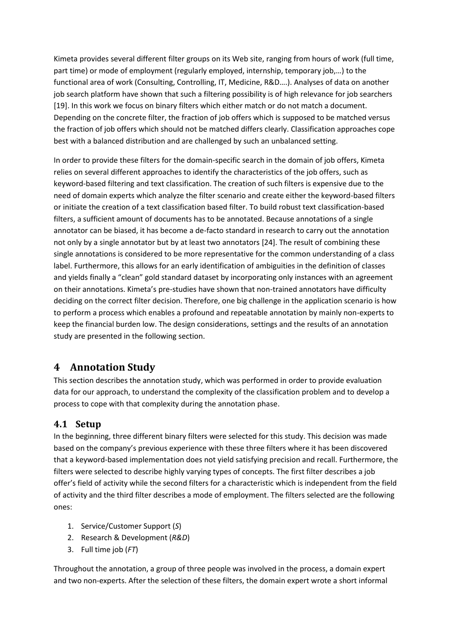Kimeta provides several different filter groups on its Web site, ranging from hours of work (full time, part time) or mode of employment (regularly employed, internship, temporary job,…) to the functional area of work (Consulting, Controlling, IT, Medicine, R&D….). Analyses of data on another job search platform have shown that such a filtering possibility is of high relevance for job searchers [19]. In this work we focus on binary filters which either match or do not match a document. Depending on the concrete filter, the fraction of job offers which is supposed to be matched versus the fraction of job offers which should not be matched differs clearly. Classification approaches cope best with a balanced distribution and are challenged by such an unbalanced setting.

In order to provide these filters for the domain-specific search in the domain of job offers, Kimeta relies on several different approaches to identify the characteristics of the job offers, such as keyword-based filtering and text classification. The creation of such filters is expensive due to the need of domain experts which analyze the filter scenario and create either the keyword-based filters or initiate the creation of a text classification based filter. To build robust text classification-based filters, a sufficient amount of documents has to be annotated. Because annotations of a single annotator can be biased, it has become a de-facto standard in research to carry out the annotation not only by a single annotator but by at least two annotators [24]. The result of combining these single annotations is considered to be more representative for the common understanding of a class label. Furthermore, this allows for an early identification of ambiguities in the definition of classes and yields finally a "clean" gold standard dataset by incorporating only instances with an agreement on their annotations. Kimeta's pre-studies have shown that non-trained annotators have difficulty deciding on the correct filter decision. Therefore, one big challenge in the application scenario is how to perform a process which enables a profound and repeatable annotation by mainly non-experts to keep the financial burden low. The design considerations, settings and the results of an annotation study are presented in the following section.

## <span id="page-5-0"></span>**4 Annotation Study**

This section describes the annotation study, which was performed in order to provide evaluation data for our approach, to understand the complexity of the classification problem and to develop a process to cope with that complexity during the annotation phase.

### **4.1 Setup**

In the beginning, three different binary filters were selected for this study. This decision was made based on the company's previous experience with these three filters where it has been discovered that a keyword-based implementation does not yield satisfying precision and recall. Furthermore, the filters were selected to describe highly varying types of concepts. The first filter describes a job offer's field of activity while the second filters for a characteristic which is independent from the field of activity and the third filter describes a mode of employment. The filters selected are the following ones:

- 1. Service/Customer Support (*S*)
- 2. Research & Development (*R&D*)
- 3. Full time job (*FT*)

Throughout the annotation, a group of three people was involved in the process, a domain expert and two non-experts. After the selection of these filters, the domain expert wrote a short informal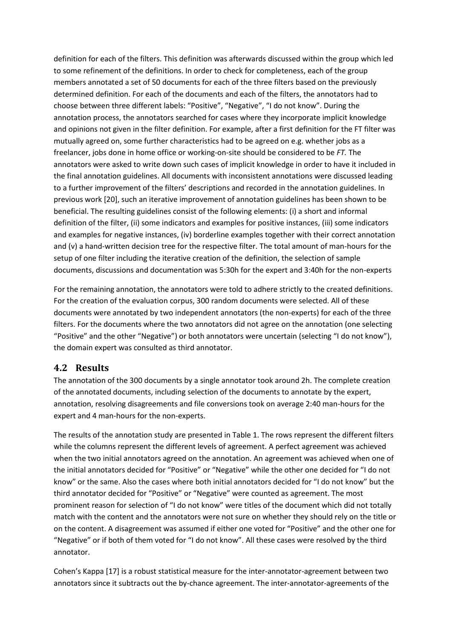definition for each of the filters. This definition was afterwards discussed within the group which led to some refinement of the definitions. In order to check for completeness, each of the group members annotated a set of 50 documents for each of the three filters based on the previously determined definition. For each of the documents and each of the filters, the annotators had to choose between three different labels: "Positive", "Negative", "I do not know". During the annotation process, the annotators searched for cases where they incorporate implicit knowledge and opinions not given in the filter definition. For example, after a first definition for the FT filter was mutually agreed on, some further characteristics had to be agreed on e.g. whether jobs as a freelancer, jobs done in home office or working-on-site should be considered to be *FT.* The annotators were asked to write down such cases of implicit knowledge in order to have it included in the final annotation guidelines. All documents with inconsistent annotations were discussed leading to a further improvement of the filters' descriptions and recorded in the annotation guidelines. In previous work [20], such an iterative improvement of annotation guidelines has been shown to be beneficial. The resulting guidelines consist of the following elements: (i) a short and informal definition of the filter, (ii) some indicators and examples for positive instances, (iii) some indicators and examples for negative instances, (iv) borderline examples together with their correct annotation and (v) a hand-written decision tree for the respective filter. The total amount of man-hours for the setup of one filter including the iterative creation of the definition, the selection of sample documents, discussions and documentation was 5:30h for the expert and 3:40h for the non-experts

For the remaining annotation, the annotators were told to adhere strictly to the created definitions. For the creation of the evaluation corpus, 300 random documents were selected. All of these documents were annotated by two independent annotators (the non-experts) for each of the three filters. For the documents where the two annotators did not agree on the annotation (one selecting "Positive" and the other "Negative") or both annotators were uncertain (selecting "I do not know"), the domain expert was consulted as third annotator.

### <span id="page-6-0"></span>**4.2 Results**

The annotation of the 300 documents by a single annotator took around 2h. The complete creation of the annotated documents, including selection of the documents to annotate by the expert, annotation, resolving disagreements and file conversions took on average 2:40 man-hours for the expert and 4 man-hours for the non-experts.

The results of the annotation study are presented in [Table 1.](#page-7-1) The rows represent the different filters while the columns represent the different levels of agreement. A perfect agreement was achieved when the two initial annotators agreed on the annotation. An agreement was achieved when one of the initial annotators decided for "Positive" or "Negative" while the other one decided for "I do not know" or the same. Also the cases where both initial annotators decided for "I do not know" but the third annotator decided for "Positive" or "Negative" were counted as agreement. The most prominent reason for selection of "I do not know" were titles of the document which did not totally match with the content and the annotators were not sure on whether they should rely on the title or on the content. A disagreement was assumed if either one voted for "Positive" and the other one for "Negative" or if both of them voted for "I do not know". All these cases were resolved by the third annotator.

Cohen's Kappa [17] is a robust statistical measure for the inter-annotator-agreement between two annotators since it subtracts out the by-chance agreement. The inter-annotator-agreements of the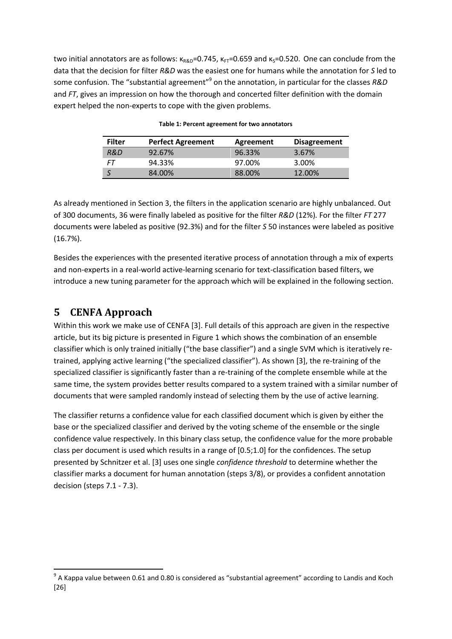two initial annotators are as follows:  $\kappa_{R&D}=0.745$ ,  $\kappa_{FT}=0.659$  and  $\kappa_{S}=0.520$ . One can conclude from the data that the decision for filter *R&D* was the easiest one for humans while the annotation for *S* led to some confusion. The "substantial agreement"<sup>9</sup> on the annotation, in particular for the classes R&D and *FT*, gives an impression on how the thorough and concerted filter definition with the domain expert helped the non-experts to cope with the given problems.

<span id="page-7-1"></span>

| <b>Filter</b> | <b>Perfect Agreement</b> | Agreement | <b>Disagreement</b> |
|---------------|--------------------------|-----------|---------------------|
| R&D           | 92.67%                   | 96.33%    | 3.67%               |
| FT            | 94.33%                   | 97.00%    | 3.00%               |
|               | 84.00%                   | 88.00%    | 12.00%              |

#### **Table 1: Percent agreement for two annotators**

As already mentioned in Sectio[n 3,](#page-4-0) the filters in the application scenario are highly unbalanced. Out of 300 documents, 36 were finally labeled as positive for the filter *R&D* (12%)*.* For the filter *FT* 277 documents were labeled as positive (92.3%) and for the filter *S* 50 instances were labeled as positive (16.7%).

Besides the experiences with the presented iterative process of annotation through a mix of experts and non-experts in a real-world active-learning scenario for text-classification based filters, we introduce a new tuning parameter for the approach which will be explained in the following section.

## <span id="page-7-0"></span>**5 CENFA Approach**

1

Within this work we make use of CENFA [3]. Full details of this approach are given in the respective article, but its big picture is presented in [Figure 1](#page-8-0) which shows the combination of an ensemble classifier which is only trained initially ("the base classifier") and a single SVM which is iteratively retrained, applying active learning ("the specialized classifier"). As shown [3], the re-training of the specialized classifier is significantly faster than a re-training of the complete ensemble while at the same time, the system provides better results compared to a system trained with a similar number of documents that were sampled randomly instead of selecting them by the use of active learning.

The classifier returns a confidence value for each classified document which is given by either the base or the specialized classifier and derived by the voting scheme of the ensemble or the single confidence value respectively. In this binary class setup, the confidence value for the more probable class per document is used which results in a range of [0.5;1.0] for the confidences. The setup presented by Schnitzer et al. [3] uses one single *confidence threshold* to determine whether the classifier marks a document for human annotation (steps 3/8), or provides a confident annotation decision (steps 7.1 - 7.3).

 $^9$  A Kappa value between 0.61 and 0.80 is considered as "substantial agreement" according to Landis and Koch [26]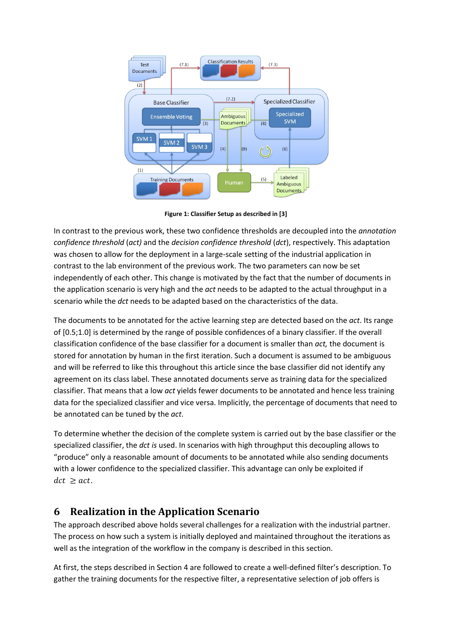

**Figure 1: Classifier Setup as described in [3]**

<span id="page-8-0"></span>In contrast to the previous work, these two confidence thresholds are decoupled into the *annotation confidence threshold* (*act)* and the *decision confidence threshold* (*dct*), respectively. This adaptation was chosen to allow for the deployment in a large-scale setting of the industrial application in contrast to the lab environment of the previous work. The two parameters can now be set independently of each other. This change is motivated by the fact that the number of documents in the application scenario is very high and the *act* needs to be adapted to the actual throughput in a scenario while the *dct* needs to be adapted based on the characteristics of the data.

The documents to be annotated for the active learning step are detected based on the *act*. Its range of [0.5;1.0] is determined by the range of possible confidences of a binary classifier. If the overall classification confidence of the base classifier for a document is smaller than *act,* the document is stored for annotation by human in the first iteration. Such a document is assumed to be ambiguous and will be referred to like this throughout this article since the base classifier did not identify any agreement on its class label. These annotated documents serve as training data for the specialized classifier. That means that a low *act* yields fewer documents to be annotated and hence less training data for the specialized classifier and vice versa. Implicitly, the percentage of documents that need to be annotated can be tuned by the *act*.

To determine whether the decision of the complete system is carried out by the base classifier or the specialized classifier, the *dct is* used. In scenarios with high throughput this decoupling allows to "produce" only a reasonable amount of documents to be annotated while also sending documents with a lower confidence to the specialized classifier. This advantage can only be exploited if  $\det$   $\geq$  act.

## <span id="page-8-1"></span>**6 Realization in the Application Scenario**

The approach described above holds several challenges for a realization with the industrial partner. The process on how such a system is initially deployed and maintained throughout the iterations as well as the integration of the workflow in the company is described in this section.

At first, the steps described in Section [4](#page-5-0) are followed to create a well-defined filter's description. To gather the training documents for the respective filter, a representative selection of job offers is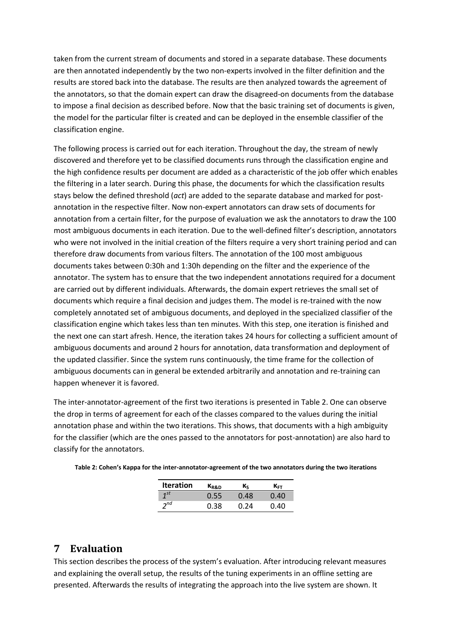taken from the current stream of documents and stored in a separate database. These documents are then annotated independently by the two non-experts involved in the filter definition and the results are stored back into the database. The results are then analyzed towards the agreement of the annotators, so that the domain expert can draw the disagreed-on documents from the database to impose a final decision as described before. Now that the basic training set of documents is given, the model for the particular filter is created and can be deployed in the ensemble classifier of the classification engine.

The following process is carried out for each iteration. Throughout the day, the stream of newly discovered and therefore yet to be classified documents runs through the classification engine and the high confidence results per document are added as a characteristic of the job offer which enables the filtering in a later search. During this phase, the documents for which the classification results stays below the defined threshold (*act*) are added to the separate database and marked for postannotation in the respective filter. Now non-expert annotators can draw sets of documents for annotation from a certain filter, for the purpose of evaluation we ask the annotators to draw the 100 most ambiguous documents in each iteration. Due to the well-defined filter's description, annotators who were not involved in the initial creation of the filters require a very short training period and can therefore draw documents from various filters. The annotation of the 100 most ambiguous documents takes between 0:30h and 1:30h depending on the filter and the experience of the annotator. The system has to ensure that the two independent annotations required for a document are carried out by different individuals. Afterwards, the domain expert retrieves the small set of documents which require a final decision and judges them. The model is re-trained with the now completely annotated set of ambiguous documents, and deployed in the specialized classifier of the classification engine which takes less than ten minutes. With this step, one iteration is finished and the next one can start afresh. Hence, the iteration takes 24 hours for collecting a sufficient amount of ambiguous documents and around 2 hours for annotation, data transformation and deployment of the updated classifier. Since the system runs continuously, the time frame for the collection of ambiguous documents can in general be extended arbitrarily and annotation and re-training can happen whenever it is favored.

The inter-annotator-agreement of the first two iterations is presented in [Table 2.](#page-9-0) One can observe the drop in terms of agreement for each of the classes compared to the values during the initial annotation phase and within the two iterations. This shows, that documents with a high ambiguity for the classifier (which are the ones passed to the annotators for post-annotation) are also hard to classify for the annotators.

| <b>Iteration</b> | $K_{R&D}$ | Κς   | Kғт  |
|------------------|-----------|------|------|
| 1 <sup>st</sup>  | 0.55      | 0.48 | 0.40 |
| $2^{nd}$         | 0.38      | በ 24 | 0.40 |

<span id="page-9-0"></span>**Table 2: Cohen's Kappa for the inter-annotator-agreement of the two annotators during the two iterations**

## **7 Evaluation**

This section describes the process of the system's evaluation. After introducing relevant measures and explaining the overall setup, the results of the tuning experiments in an offline setting are presented. Afterwards the results of integrating the approach into the live system are shown. It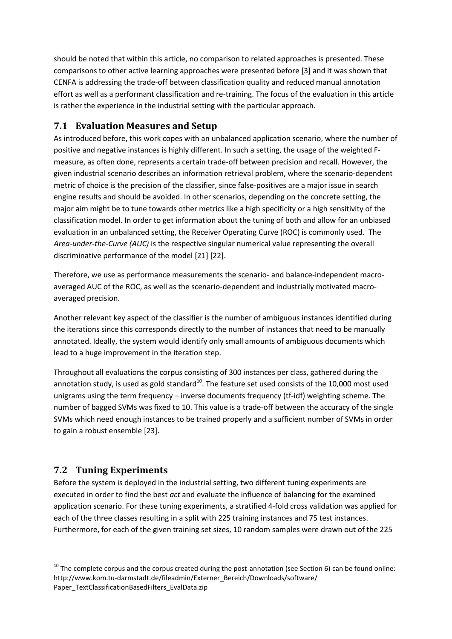should be noted that within this article, no comparison to related approaches is presented. These comparisons to other active learning approaches were presented before [3] and it was shown that CENFA is addressing the trade-off between classification quality and reduced manual annotation effort as well as a performant classification and re-training. The focus of the evaluation in this article is rather the experience in the industrial setting with the particular approach.

## **7.1 Evaluation Measures and Setup**

As introduced before, this work copes with an unbalanced application scenario, where the number of positive and negative instances is highly different. In such a setting, the usage of the weighted Fmeasure, as often done, represents a certain trade-off between precision and recall. However, the given industrial scenario describes an information retrieval problem, where the scenario-dependent metric of choice is the precision of the classifier, since false-positives are a major issue in search engine results and should be avoided. In other scenarios, depending on the concrete setting, the major aim might be to tune towards other metrics like a high specificity or a high sensitivity of the classification model. In order to get information about the tuning of both and allow for an unbiased evaluation in an unbalanced setting, the Receiver Operating Curve (ROC) is commonly used. The *Area-under-the-Curve (AUC)* is the respective singular numerical value representing the overall discriminative performance of the model [21] [22].

Therefore, we use as performance measurements the scenario- and balance-independent macroaveraged AUC of the ROC, as well as the scenario-dependent and industrially motivated macroaveraged precision.

Another relevant key aspect of the classifier is the number of ambiguous instances identified during the iterations since this corresponds directly to the number of instances that need to be manually annotated. Ideally, the system would identify only small amounts of ambiguous documents which lead to a huge improvement in the iteration step.

Throughout all evaluations the corpus consisting of 300 instances per class, gathered during the annotation study, is used as gold standard<sup>10</sup>. The feature set used consists of the 10,000 most used unigrams using the term frequency – inverse documents frequency (tf-idf) weighting scheme. The number of bagged SVMs was fixed to 10. This value is a trade-off between the accuracy of the single SVMs which need enough instances to be trained properly and a sufficient number of SVMs in order to gain a robust ensemble [23].

## **7.2 Tuning Experiments**

**.** 

Before the system is deployed in the industrial setting, two different tuning experiments are executed in order to find the best *act* and evaluate the influence of balancing for the examined application scenario. For these tuning experiments, a stratified 4-fold cross validation was applied for each of the three classes resulting in a split with 225 training instances and 75 test instances. Furthermore, for each of the given training set sizes, 10 random samples were drawn out of the 225

 $^{10}$  The complete corpus and the corpus created during the post-annotation (see Section [6\)](#page-8-1) can be found online: http://www.kom.tu-darmstadt.de/fileadmin/Externer\_Bereich/Downloads/software/ Paper\_TextClassificationBasedFilters\_EvalData.zip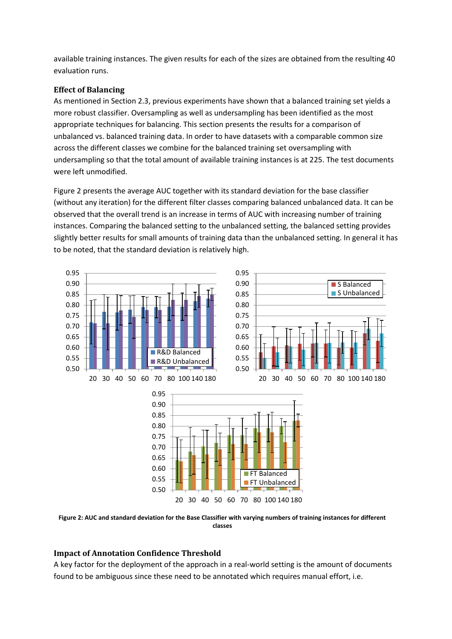available training instances. The given results for each of the sizes are obtained from the resulting 40 evaluation runs.

#### **Effect of Balancing**

As mentioned in Section [2.3,](#page-4-1) previous experiments have shown that a balanced training set yields a more robust classifier. Oversampling as well as undersampling has been identified as the most appropriate techniques for balancing. This section presents the results for a comparison of unbalanced vs. balanced training data. In order to have datasets with a comparable common size across the different classes we combine for the balanced training set oversampling with undersampling so that the total amount of available training instances is at 225. The test documents were left unmodified.

[Figure 2](#page-11-0) presents the average AUC together with its standard deviation for the base classifier (without any iteration) for the different filter classes comparing balanced unbalanced data. It can be observed that the overall trend is an increase in terms of AUC with increasing number of training instances. Comparing the balanced setting to the unbalanced setting, the balanced setting provides slightly better results for small amounts of training data than the unbalanced setting. In general it has to be noted, that the standard deviation is relatively high.



<span id="page-11-0"></span>**Figure 2: AUC and standard deviation for the Base Classifier with varying numbers of training instances for different classes**

#### **Impact of Annotation Confidence Threshold**

A key factor for the deployment of the approach in a real-world setting is the amount of documents found to be ambiguous since these need to be annotated which requires manual effort, i.e.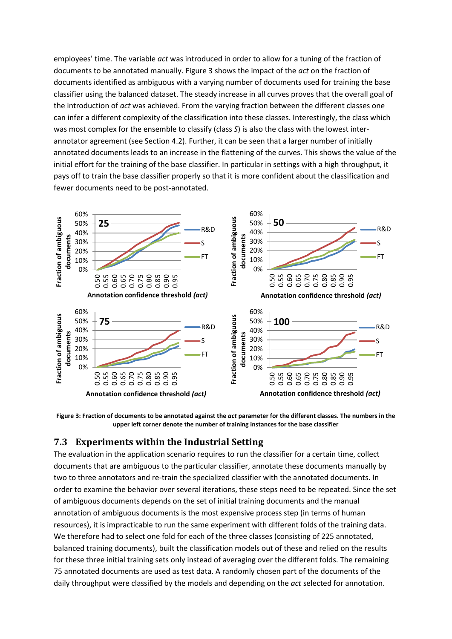employees' time. The variable *act* was introduced in order to allow for a tuning of the fraction of documents to be annotated manually. [Figure 3](#page-12-0) shows the impact of the *act* on the fraction of documents identified as ambiguous with a varying number of documents used for training the base classifier using the balanced dataset. The steady increase in all curves proves that the overall goal of the introduction of *act* was achieved. From the varying fraction between the different classes one can infer a different complexity of the classification into these classes. Interestingly, the class which was most complex for the ensemble to classify (class *S*) is also the class with the lowest interannotator agreement (see Section [4.2\)](#page-6-0). Further, it can be seen that a larger number of initially annotated documents leads to an increase in the flattening of the curves. This shows the value of the initial effort for the training of the base classifier. In particular in settings with a high throughput, it pays off to train the base classifier properly so that it is more confident about the classification and fewer documents need to be post-annotated.



<span id="page-12-0"></span>**Figure 3: Fraction of documents to be annotated against the** *act* **parameter for the different classes. The numbers in the upper left corner denote the number of training instances for the base classifier**

### **7.3 Experiments within the Industrial Setting**

The evaluation in the application scenario requires to run the classifier for a certain time, collect documents that are ambiguous to the particular classifier, annotate these documents manually by two to three annotators and re-train the specialized classifier with the annotated documents. In order to examine the behavior over several iterations, these steps need to be repeated. Since the set of ambiguous documents depends on the set of initial training documents and the manual annotation of ambiguous documents is the most expensive process step (in terms of human resources), it is impracticable to run the same experiment with different folds of the training data. We therefore had to select one fold for each of the three classes (consisting of 225 annotated, balanced training documents), built the classification models out of these and relied on the results for these three initial training sets only instead of averaging over the different folds. The remaining 75 annotated documents are used as test data. A randomly chosen part of the documents of the daily throughput were classified by the models and depending on the *act* selected for annotation.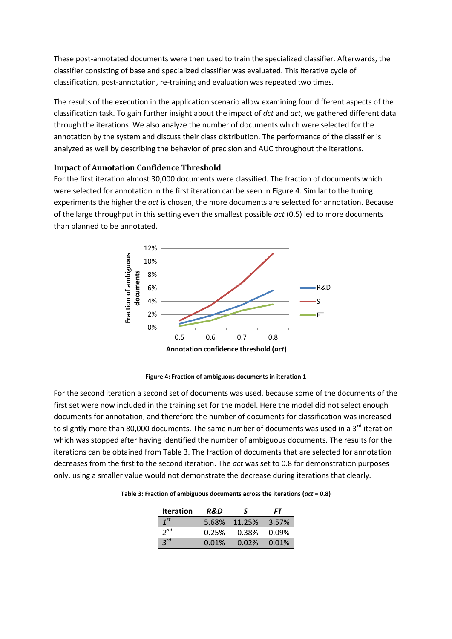These post-annotated documents were then used to train the specialized classifier. Afterwards, the classifier consisting of base and specialized classifier was evaluated. This iterative cycle of classification, post-annotation, re-training and evaluation was repeated two times.

The results of the execution in the application scenario allow examining four different aspects of the classification task. To gain further insight about the impact of *dct* and *act*, we gathered different data through the iterations. We also analyze the number of documents which were selected for the annotation by the system and discuss their class distribution. The performance of the classifier is analyzed as well by describing the behavior of precision and AUC throughout the iterations.

#### **Impact of Annotation Confidence Threshold**

For the first iteration almost 30,000 documents were classified. The fraction of documents which were selected for annotation in the first iteration can be seen in [Figure 4.](#page-13-0) Similar to the tuning experiments the higher the *act* is chosen, the more documents are selected for annotation. Because of the large throughput in this setting even the smallest possible *act* (0.5) led to more documents than planned to be annotated.



**Figure 4: Fraction of ambiguous documents in iteration 1**

<span id="page-13-0"></span>For the second iteration a second set of documents was used, because some of the documents of the first set were now included in the training set for the model. Here the model did not select enough documents for annotation, and therefore the number of documents for classification was increased to slightly more than 80,000 documents. The same number of documents was used in a 3<sup>rd</sup> iteration which was stopped after having identified the number of ambiguous documents. The results for the iterations can be obtained from [Table 3.](#page-13-1) The fraction of documents that are selected for annotation decreases from the first to the second iteration. The *act* was set to 0.8 for demonstration purposes only, using a smaller value would not demonstrate the decrease during iterations that clearly.

<span id="page-13-1"></span>**Table 3: Fraction of ambiguous documents across the iterations (***act* **= 0.8)**

| <b>Iteration</b> | R&D      | 5        | FT       |
|------------------|----------|----------|----------|
| 1 <sup>st</sup>  | 5.68%    | 11.25%   | 3.57%    |
| $2^{nd}$         | 0.25%    | 0.38%    | 0.09%    |
| $2^{rd}$         | $0.01\%$ | $0.02\%$ | $0.01\%$ |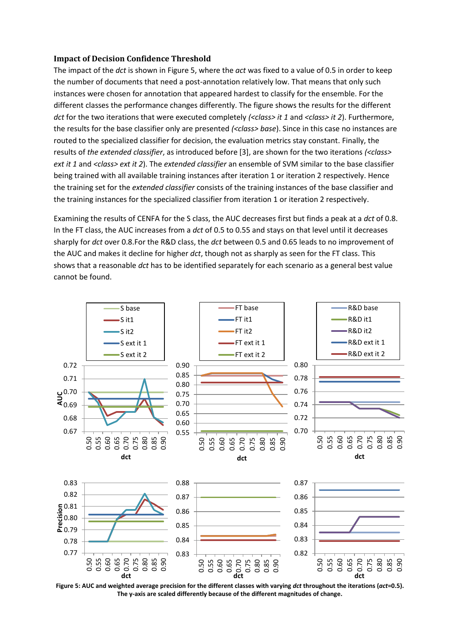#### **Impact of Decision Confidence Threshold**

The impact of the *dct* is shown in [Figure 5,](#page-14-0) where the *act* was fixed to a value of 0.5 in order to keep the number of documents that need a post-annotation relatively low. That means that only such instances were chosen for annotation that appeared hardest to classify for the ensemble. For the different classes the performance changes differently. The figure shows the results for the different *dct* for the two iterations that were executed completely *(<class> it 1* and *<class> it 2*). Furthermore, the results for the base classifier only are presented *(<class> base*). Since in this case no instances are routed to the specialized classifier for decision, the evaluation metrics stay constant. Finally, the results of *the extended classifier*, as introduced before [3], are shown for the two iterations *(<class> ext it 1* and *<class> ext it 2*). The *extended classifier* an ensemble of SVM similar to the base classifier being trained with all available training instances after iteration 1 or iteration 2 respectively. Hence the training set for the *extended classifier* consists of the training instances of the base classifier and the training instances for the specialized classifier from iteration 1 or iteration 2 respectively.

Examining the results of CENFA for the S class, the AUC decreases first but finds a peak at a *dct* of 0.8. In the FT class, the AUC increases from a *dct* of 0.5 to 0.55 and stays on that level until it decreases sharply for *dct* over 0.8.For the R&D class, the *dct* between 0.5 and 0.65 leads to no improvement of the AUC and makes it decline for higher *dct*, though not as sharply as seen for the FT class. This shows that a reasonable *dct* has to be identified separately for each scenario as a general best value cannot be found.



<span id="page-14-0"></span>**Figure 5: AUC and weighted average precision for the different classes with varying** *dct* **throughout the iterations (***act***=0.5). The y-axis are scaled differently because of the different magnitudes of change.**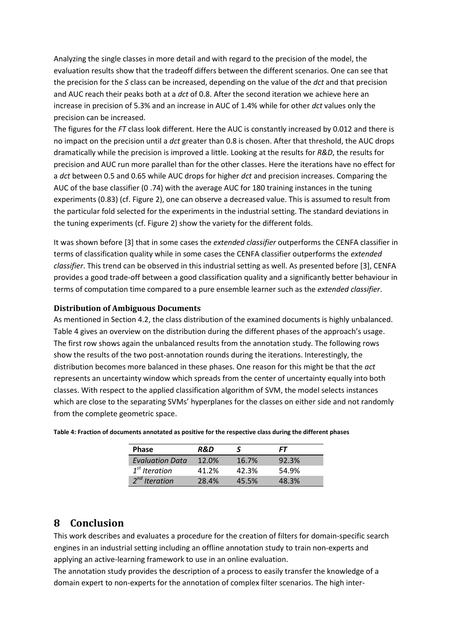Analyzing the single classes in more detail and with regard to the precision of the model, the evaluation results show that the tradeoff differs between the different scenarios. One can see that the precision for the *S* class can be increased, depending on the value of the *dct* and that precision and AUC reach their peaks both at a *dct* of 0.8. After the second iteration we achieve here an increase in precision of 5.3% and an increase in AUC of 1.4% while for other *dct* values only the precision can be increased.

The figures for the *FT* class look different. Here the AUC is constantly increased by 0.012 and there is no impact on the precision until a *dct* greater than 0.8 is chosen. After that threshold, the AUC drops dramatically while the precision is improved a little. Looking at the results for *R&D*, the results for precision and AUC run more parallel than for the other classes. Here the iterations have no effect for a *dct* between 0.5 and 0.65 while AUC drops for higher *dct* and precision increases. Comparing the AUC of the base classifier (0 .74) with the average AUC for 180 training instances in the tuning experiments (0.83) (cf[. Figure 2\)](#page-11-0), one can observe a decreased value. This is assumed to result from the particular fold selected for the experiments in the industrial setting. The standard deviations in the tuning experiments (cf[. Figure 2\)](#page-11-0) show the variety for the different folds.

It was shown before [3] that in some cases the *extended classifier* outperforms the CENFA classifier in terms of classification quality while in some cases the CENFA classifier outperforms the *extended classifier*. This trend can be observed in this industrial setting as well. As presented before [3], CENFA provides a good trade-off between a good classification quality and a significantly better behaviour in terms of computation time compared to a pure ensemble learner such as the *extended classifier*.

#### **Distribution of Ambiguous Documents**

As mentioned in Section [4.2,](#page-6-0) the class distribution of the examined documents is highly unbalanced. [Table 4](#page-15-1) gives an overview on the distribution during the different phases of the approach's usage. The first row shows again the unbalanced results from the annotation study. The following rows show the results of the two post-annotation rounds during the iterations. Interestingly, the distribution becomes more balanced in these phases. One reason for this might be that the *act* represents an uncertainty window which spreads from the center of uncertainty equally into both classes. With respect to the applied classification algorithm of SVM, the model selects instances which are close to the separating SVMs' hyperplanes for the classes on either side and not randomly from the complete geometric space.

| <b>Phase</b>           | R&D   |       | FT    |
|------------------------|-------|-------|-------|
| <b>Evaluation Data</b> | 12.0% | 16.7% | 92.3% |
| $1st$ Iteration        | 41.2% | 42.3% | 54.9% |
| $2^{nd}$ Iteration     | 28.4% | 45.5% | 48.3% |

<span id="page-15-1"></span>**Table 4: Fraction of documents annotated as positive for the respective class during the different phases**

## <span id="page-15-0"></span>**8 Conclusion**

This work describes and evaluates a procedure for the creation of filters for domain-specific search engines in an industrial setting including an offline annotation study to train non-experts and applying an active-learning framework to use in an online evaluation.

The annotation study provides the description of a process to easily transfer the knowledge of a domain expert to non-experts for the annotation of complex filter scenarios. The high inter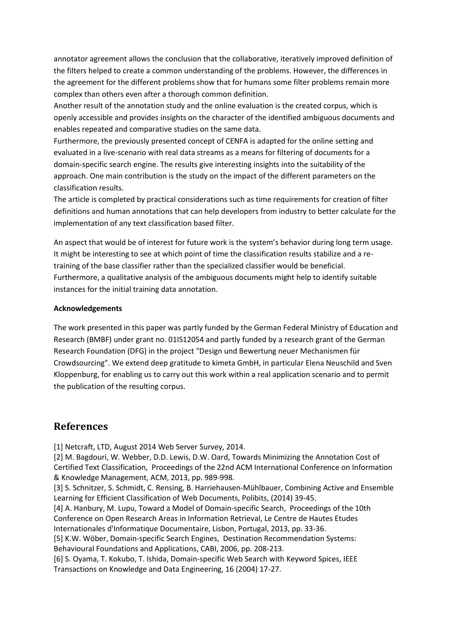annotator agreement allows the conclusion that the collaborative, iteratively improved definition of the filters helped to create a common understanding of the problems. However, the differences in the agreement for the different problems show that for humans some filter problems remain more complex than others even after a thorough common definition.

Another result of the annotation study and the online evaluation is the created corpus, which is openly accessible and provides insights on the character of the identified ambiguous documents and enables repeated and comparative studies on the same data.

Furthermore, the previously presented concept of CENFA is adapted for the online setting and evaluated in a live-scenario with real data streams as a means for filtering of documents for a domain-specific search engine. The results give interesting insights into the suitability of the approach. One main contribution is the study on the impact of the different parameters on the classification results.

The article is completed by practical considerations such as time requirements for creation of filter definitions and human annotations that can help developers from industry to better calculate for the implementation of any text classification based filter.

An aspect that would be of interest for future work is the system's behavior during long term usage. It might be interesting to see at which point of time the classification results stabilize and a retraining of the base classifier rather than the specialized classifier would be beneficial. Furthermore, a qualitative analysis of the ambiguous documents might help to identify suitable instances for the initial training data annotation.

#### **Acknowledgements**

The work presented in this paper was partly funded by the German Federal Ministry of Education and Research (BMBF) under grant no. 01IS12054 and partly funded by a research grant of the German Research Foundation (DFG) in the project "Design und Bewertung neuer Mechanismen für Crowdsourcing". We extend deep gratitude to kimeta GmbH, in particular Elena Neuschild and Sven Kloppenburg, for enabling us to carry out this work within a real application scenario and to permit the publication of the resulting corpus.

### **References**

[1] Netcraft, LTD, August 2014 Web Server Survey, 2014.

[2] M. Bagdouri, W. Webber, D.D. Lewis, D.W. Oard, Towards Minimizing the Annotation Cost of Certified Text Classification, Proceedings of the 22nd ACM International Conference on Information & Knowledge Management, ACM, 2013, pp. 989-998.

[3] S. Schnitzer, S. Schmidt, C. Rensing, B. Harriehausen-Mühlbauer, Combining Active and Ensemble Learning for Efficient Classification of Web Documents, Polibits, (2014) 39-45.

[4] A. Hanbury, M. Lupu, Toward a Model of Domain-specific Search, Proceedings of the 10th Conference on Open Research Areas in Information Retrieval, Le Centre de Hautes Etudes Internationales d'Informatique Documentaire, Lisbon, Portugal, 2013, pp. 33-36.

[5] K.W. Wöber, Domain-specific Search Engines, Destination Recommendation Systems: Behavioural Foundations and Applications, CABI, 2006, pp. 208-213.

[6] S. Oyama, T. Kokubo, T. Ishida, Domain-specific Web Search with Keyword Spices, IEEE Transactions on Knowledge and Data Engineering, 16 (2004) 17-27.